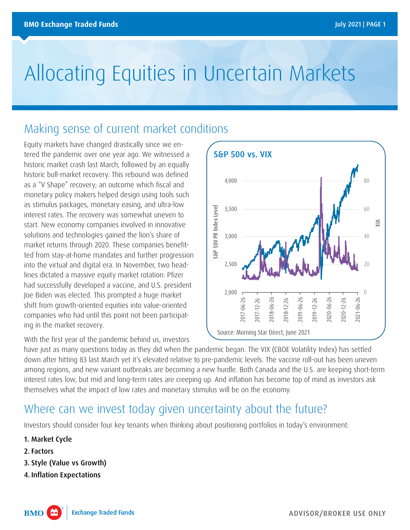# Allocating Equities in Uncertain Markets

## Making sense of current market conditions

Equity markets have changed drastically since we entered the pandemic over one year ago. We witnessed a historic market crash last March, followed by an equally historic bull-market recovery. This rebound was defined as a "V Shape" recovery; an outcome which fiscal and monetary policy makers helped design using tools such as stimulus packages, monetary easing, and ultra-low interest rates. The recovery was somewhat uneven to start. New economy companies involved in innovative solutions and technologies gained the lion's share of market returns through 2020. These companies benefitted from stay-at-home mandates and further progression into the virtual and digital era. In November, two headlines dictated a massive equity market rotation: Pfizer had successfully developed a vaccine, and U.S. president Joe Biden was elected. This prompted a huge market shift from growth-oriented equities into value-oriented companies who had until this point not been participating in the market recovery.

With the first year of the pandemic behind us, investors



have just as many questions today as they did when the pandemic began. The VIX (CBOE Volatility Index) has settled down after hitting 83 last March yet it's elevated relative to pre-pandemic levels. The vaccine roll-out has been uneven among regions, and new variant outbreaks are becoming a new hurdle. Both Canada and the U.S. are keeping short-term interest rates low, but mid and long-term rates are creeping up. And inflation has become top of mind as investors ask themselves what the impact of low rates and monetary stimulus will be on the economy.

## Where can we invest today given uncertainty about the future?

Investors should consider four key tenants when thinking about positioning portfolios in today's environment:

- 1. Market Cycle
- 2. Factors
- 3. Style (Value vs Growth)
- 4. Inflation Expectations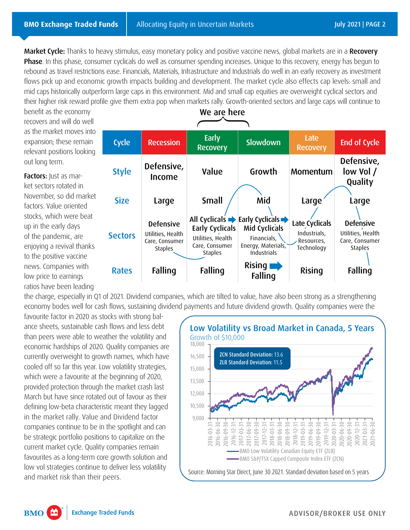Market Cycle: Thanks to heavy stimulus, easy monetary policy and positive vaccine news, global markets are in a Recovery **Phase**. In this phase, consumer cyclicals do well as consumer spending increases. Unique to this recovery, energy has begun to rebound as travel restrictions ease. Financials, Materials, Infrastructure and Industrials do well in an early recovery as investment flows pick up and economic growth impacts building and development. The market cycle also effects cap levels: small and mid caps historically outperform large caps in this environment. Mid and small cap equities are overweight cyclical sectors and their higher risk reward profile give them extra pop when markets rally. Growth-oriented sectors and large caps will continue to

benefit as the economy recovers and will do well as the market moves into expansion; these remain relevant positions looking out long term.

Factors: Just as market sectors rotated in November, so did market factors. Value oriented stocks, which were beat up in the early days of the pandemic, are enjoying a revival thanks to the positive vaccine news. Companies with low price to earnings ratios have been leading



the charge, especially in Q1 of 2021. Dividend companies, which are tilted to value, have also been strong as a strengthening economy bodes well for cash flows, sustaining dividend payments and future dividend growth. Quality companies were the

favourite factor in 2020 as stocks with strong balance sheets, sustainable cash flows and less debt than peers were able to weather the volatility and economic hardships of 2020. Quality companies are currently overweight to growth names, which have cooled off so far this year. Low volatility strategies, which were a favourite at the beginning of 2020, provided protection through the market crash last March but have since rotated out of favour as their defining low-beta characteristic meant they lagged in the market rally. Value and Dividend factor companies continue to be in the spotlight and can be strategic portfolio positions to capitalize on the current market cycle. Quality companies remain favourites as a long-term core growth solution and low vol strategies continue to deliver less volatility



**BMO**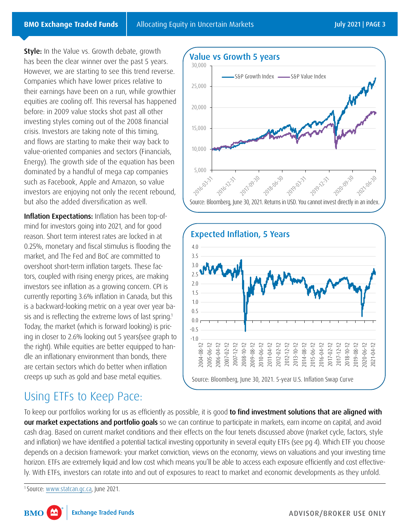**Style:** In the Value vs. Growth debate, growth has been the clear winner over the past 5 years. However, we are starting to see this trend reverse. Companies which have lower prices relative to their earnings have been on a run, while growthier equities are cooling off. This reversal has happened before: in 2009 value stocks shot past all other investing styles coming out of the 2008 financial crisis. Investors are taking note of this timing, and flows are starting to make their way back to value-oriented companies and sectors (Financials, Energy). The growth side of the equation has been dominated by a handful of mega cap companies such as Facebook, Apple and Amazon, so value investors are enjoying not only the recent rebound, but also the added diversification as well.

Inflation Expectations: Inflation has been top-ofmind for investors going into 2021, and for good reason. Short term interest rates are locked in at 0.25%, monetary and fiscal stimulus is flooding the market, and The Fed and BoC are committed to overshoot short-term inflation targets. These factors, coupled with rising energy prices, are making investors see inflation as a growing concern. CPI is currently reporting 3.6% inflation in Canada, but this is a backward-looking metric on a year over year basis and is reflecting the extreme lows of last spring.<sup>1</sup> Today, the market (which is forward looking) is pricing in closer to 2.6% looking out 5 years(see graph to the right). While equities are better equipped to handle an inflationary environment than bonds, there are certain sectors which do better when inflation creeps up such as gold and base metal equities.

### Using ETFs to Keep Pace:





To keep our portfolios working for us as efficiently as possible, it is good to find investment solutions that are aligned with our market expectations and portfolio goals so we can continue to participate in markets, earn income on capital, and avoid cash drag. Based on current market conditions and their effects on the four tenets discussed above (market cycle, factors, style and inflation) we have identified a potential tactical investing opportunity in several equity ETFs (see pg 4). Which ETF you choose depends on a decision framework: your market conviction, views on the economy, views on valuations and your investing time horizon. ETFs are extremely liquid and low cost which means you'll be able to access each exposure efficiently and cost effectively. With ETFs, investors can rotate into and out of exposures to react to market and economic developments as they unfold.

1 Source: [www.statcan.gc.ca,](www.statcan.gc.ca) June 2021.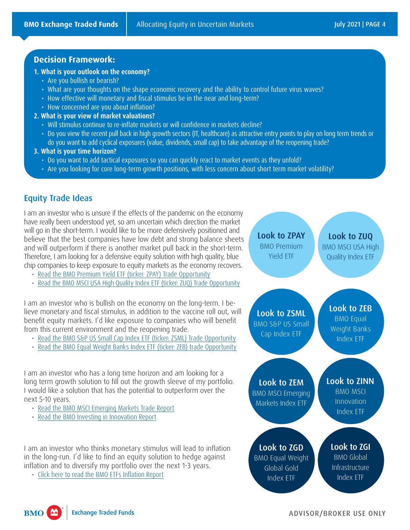#### **Decision Framework:**

#### **1. What is your outlook on the economy?**

- Are you bullish or bearish?
- What are your thoughts on the shape economic recovery and the ability to control future virus waves?
- How effective will monetary and fiscal stimulus be in the near and long-term?
- How concerned are you about inflation?
- **2. What is your view of market valuations?** 
	- Will stimulus continue to re-inflate markets or will confidence in markets decline?
	- Do you view the recent pull back in high growth sectors (IT, healthcare) as attractive entry points to play on long term trends or do you want to add cyclical exposures (value, dividends, small cap) to take advantage of the reopening trade?
- **3. What is your time horizon?** 
	- Do you want to add tactical exposures so you can quickly react to market events as they unfold?
	- Are you looking for core long-term growth positions, with less concern about short term market volatility?



#### Equity Trade Ideas

I am an investor who is unsure if the effects of the pandemic on the economy have really been understood yet, so am uncertain which direction the market will go in the short-term. I would like to be more defensively positioned and believe that the best companies have low debt and strong balance sheets and will outperform if there is another market pull back in the short-term. Therefore, I am looking for a defensive equity solution with high quality, blue chip companies to keep exposure to equity markets as the economy recovers.

- 
- 

I am an investor who is bullish on the economy on the long-term. I believe monetary and fiscal stimulus, in addition to the vaccine roll out, will benefit equity markets. I'd like exposure to companies who will benefit from this current environment and the reopening trade.

- 
- 

I am an investor who has a long time horizon and am looking for a long term growth solution to fill out the growth sleeve of my portfolio. I would like a solution that has the potential to outperform over the next 5-10 years.

- 
- 

I am an investor who thinks monetary stimulus will lead to inflation in the long-run. I'd like to find an equity solution to hedge against inflation and to diversify my portfolio over the next 1-3 years.

**Exchange Traded Funds** 

**BMO** 

 $\mathbf{M}$ 

ADVISOR/BROKER USE ONLY